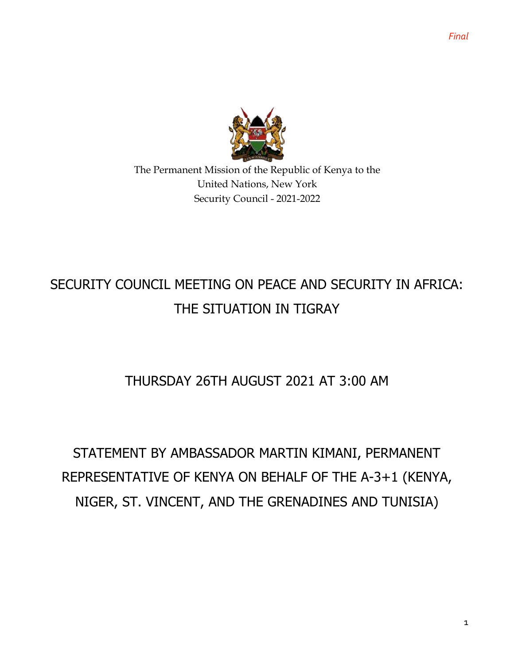

The Permanent Mission of the Republic of Kenya to the United Nations, New York Security Council - 2021-2022

# SECURITY COUNCIL MEETING ON PEACE AND SECURITY IN AFRICA: THE SITUATION IN TIGRAY

### THURSDAY 26TH AUGUST 2021 AT 3:00 AM

# STATEMENT BY AMBASSADOR MARTIN KIMANI, PERMANENT REPRESENTATIVE OF KENYA ON BEHALF OF THE A-3+1 (KENYA, NIGER, ST. VINCENT, AND THE GRENADINES AND TUNISIA)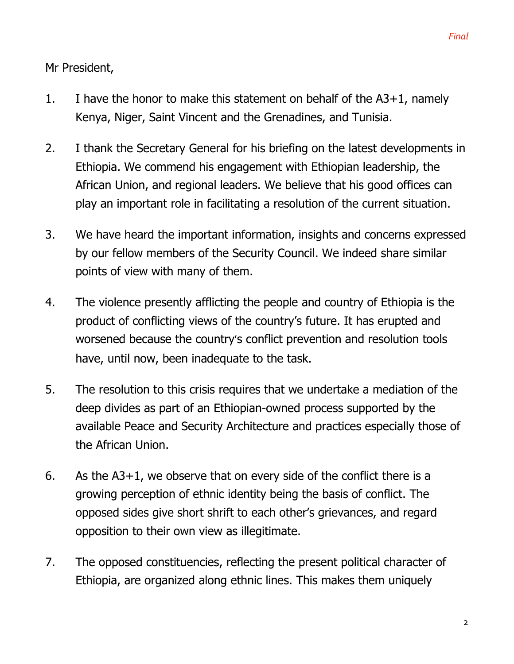*Final*

Mr President,

- 1. I have the honor to make this statement on behalf of the A3+1, namely Kenya, Niger, Saint Vincent and the Grenadines, and Tunisia.
- 2. I thank the Secretary General for his briefing on the latest developments in Ethiopia. We commend his engagement with Ethiopian leadership, the African Union, and regional leaders. We believe that his good offices can play an important role in facilitating a resolution of the current situation.
- 3. We have heard the important information, insights and concerns expressed by our fellow members of the Security Council. We indeed share similar points of view with many of them.
- 4. The violence presently afflicting the people and country of Ethiopia is the product of conflicting views of the country's future. It has erupted and worsened because the country's conflict prevention and resolution tools have, until now, been inadequate to the task.
- 5. The resolution to this crisis requires that we undertake a mediation of the deep divides as part of an Ethiopian-owned process supported by the available Peace and Security Architecture and practices especially those of the African Union.
- 6. As the A3+1, we observe that on every side of the conflict there is a growing perception of ethnic identity being the basis of conflict. The opposed sides give short shrift to each other's grievances, and regard opposition to their own view as illegitimate.
- 7. The opposed constituencies, reflecting the present political character of Ethiopia, are organized along ethnic lines. This makes them uniquely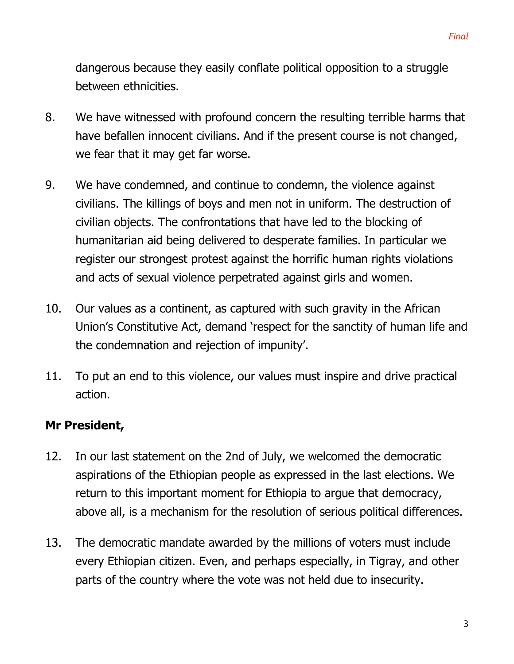dangerous because they easily conflate political opposition to a struggle between ethnicities.

- 8. We have witnessed with profound concern the resulting terrible harms that have befallen innocent civilians. And if the present course is not changed, we fear that it may get far worse.
- 9. We have condemned, and continue to condemn, the violence against civilians. The killings of boys and men not in uniform. The destruction of civilian objects. The confrontations that have led to the blocking of humanitarian aid being delivered to desperate families. In particular we register our strongest protest against the horrific human rights violations and acts of sexual violence perpetrated against girls and women.
- 10. Our values as a continent, as captured with such gravity in the African Union's Constitutive Act, demand 'respect for the sanctity of human life and the condemnation and rejection of impunity'.
- 11. To put an end to this violence, our values must inspire and drive practical action.

### **Mr President,**

- 12. In our last statement on the 2nd of July, we welcomed the democratic aspirations of the Ethiopian people as expressed in the last elections. We return to this important moment for Ethiopia to argue that democracy, above all, is a mechanism for the resolution of serious political differences.
- 13. The democratic mandate awarded by the millions of voters must include every Ethiopian citizen. Even, and perhaps especially, in Tigray, and other parts of the country where the vote was not held due to insecurity.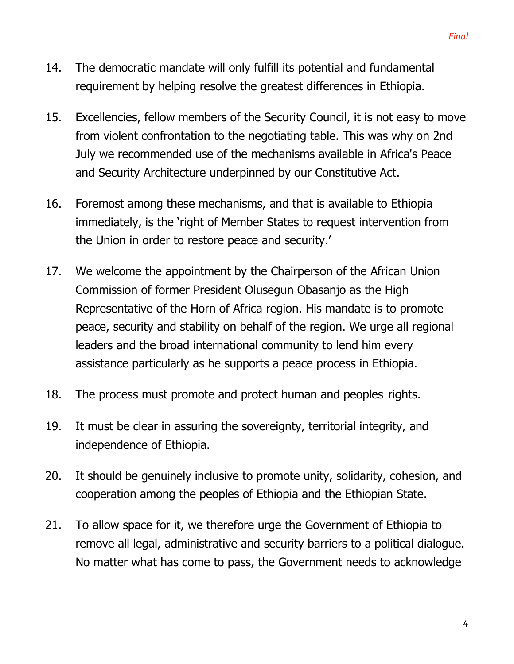- 14. The democratic mandate will only fulfill its potential and fundamental requirement by helping resolve the greatest differences in Ethiopia.
- 15. Excellencies, fellow members of the Security Council, it is not easy to move from violent confrontation to the negotiating table. This was why on 2nd July we recommended use of the mechanisms available in Africa's Peace and Security Architecture underpinned by our Constitutive Act.
- 16. Foremost among these mechanisms, and that is available to Ethiopia immediately, is the 'right of Member States to request intervention from the Union in order to restore peace and security.'
- 17. We welcome the appointment by the Chairperson of the African Union Commission of former President Olusegun Obasanjo as the High Representative of the Horn of Africa region. His mandate is to promote peace, security and stability on behalf of the region. We urge all regional leaders and the broad international community to lend him every assistance particularly as he supports a peace process in Ethiopia.
- 18. The process must promote and protect human and peoples rights.
- 19. It must be clear in assuring the sovereignty, territorial integrity, and independence of Ethiopia.
- 20. It should be genuinely inclusive to promote unity, solidarity, cohesion, and cooperation among the peoples of Ethiopia and the Ethiopian State.
- 21. To allow space for it, we therefore urge the Government of Ethiopia to remove all legal, administrative and security barriers to a political dialogue. No matter what has come to pass, the Government needs to acknowledge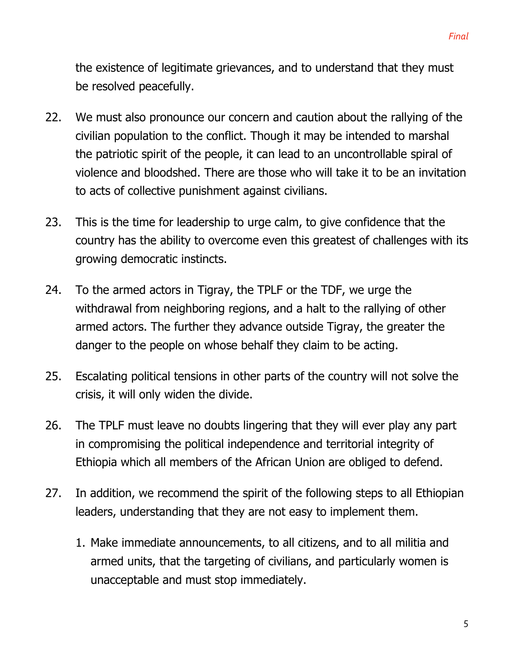the existence of legitimate grievances, and to understand that they must be resolved peacefully.

- 22. We must also pronounce our concern and caution about the rallying of the civilian population to the conflict. Though it may be intended to marshal the patriotic spirit of the people, it can lead to an uncontrollable spiral of violence and bloodshed. There are those who will take it to be an invitation to acts of collective punishment against civilians.
- 23. This is the time for leadership to urge calm, to give confidence that the country has the ability to overcome even this greatest of challenges with its growing democratic instincts.
- 24. To the armed actors in Tigray, the TPLF or the TDF, we urge the withdrawal from neighboring regions, and a halt to the rallying of other armed actors. The further they advance outside Tigray, the greater the danger to the people on whose behalf they claim to be acting.
- 25. Escalating political tensions in other parts of the country will not solve the crisis, it will only widen the divide.
- 26. The TPLF must leave no doubts lingering that they will ever play any part in compromising the political independence and territorial integrity of Ethiopia which all members of the African Union are obliged to defend.
- 27. In addition, we recommend the spirit of the following steps to all Ethiopian leaders, understanding that they are not easy to implement them.
	- 1. Make immediate announcements, to all citizens, and to all militia and armed units, that the targeting of civilians, and particularly women is unacceptable and must stop immediately.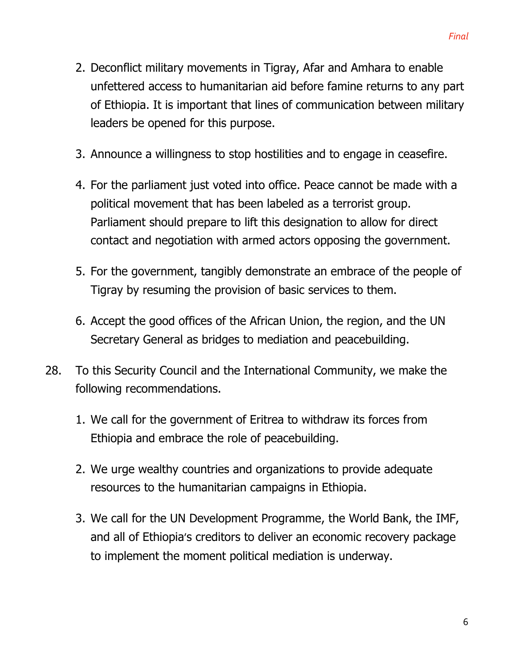- 2. Deconflict military movements in Tigray, Afar and Amhara to enable unfettered access to humanitarian aid before famine returns to any part of Ethiopia. It is important that lines of communication between military leaders be opened for this purpose.
- 3. Announce a willingness to stop hostilities and to engage in ceasefire.
- 4. For the parliament just voted into office. Peace cannot be made with a political movement that has been labeled as a terrorist group. Parliament should prepare to lift this designation to allow for direct contact and negotiation with armed actors opposing the government.
- 5. For the government, tangibly demonstrate an embrace of the people of Tigray by resuming the provision of basic services to them.
- 6. Accept the good offices of the African Union, the region, and the UN Secretary General as bridges to mediation and peacebuilding.
- 28. To this Security Council and the International Community, we make the following recommendations.
	- 1. We call for the government of Eritrea to withdraw its forces from Ethiopia and embrace the role of peacebuilding.
	- 2. We urge wealthy countries and organizations to provide adequate resources to the humanitarian campaigns in Ethiopia.
	- 3. We call for the UN Development Programme, the World Bank, the IMF, and all of Ethiopia's creditors to deliver an economic recovery package to implement the moment political mediation is underway.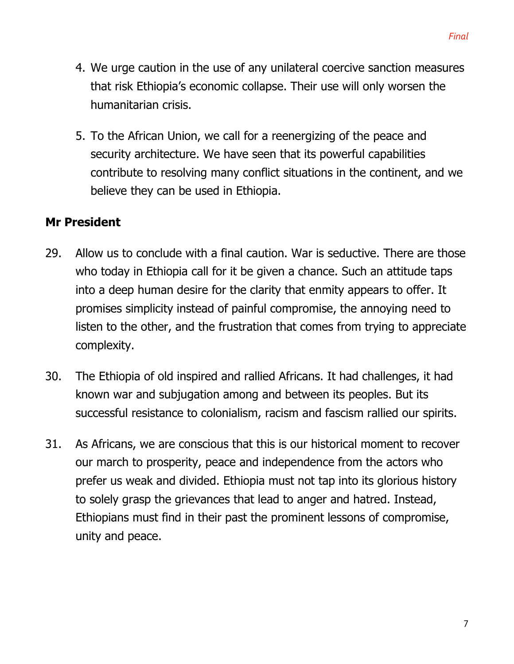- 4. We urge caution in the use of any unilateral coercive sanction measures that risk Ethiopia's economic collapse. Their use will only worsen the humanitarian crisis.
- 5. To the African Union, we call for a reenergizing of the peace and security architecture. We have seen that its powerful capabilities contribute to resolving many conflict situations in the continent, and we believe they can be used in Ethiopia.

### **Mr President**

- 29. Allow us to conclude with a final caution. War is seductive. There are those who today in Ethiopia call for it be given a chance. Such an attitude taps into a deep human desire for the clarity that enmity appears to offer. It promises simplicity instead of painful compromise, the annoying need to listen to the other, and the frustration that comes from trying to appreciate complexity.
- 30. The Ethiopia of old inspired and rallied Africans. It had challenges, it had known war and subjugation among and between its peoples. But its successful resistance to colonialism, racism and fascism rallied our spirits.
- 31. As Africans, we are conscious that this is our historical moment to recover our march to prosperity, peace and independence from the actors who prefer us weak and divided. Ethiopia must not tap into its glorious history to solely grasp the grievances that lead to anger and hatred. Instead, Ethiopians must find in their past the prominent lessons of compromise, unity and peace.